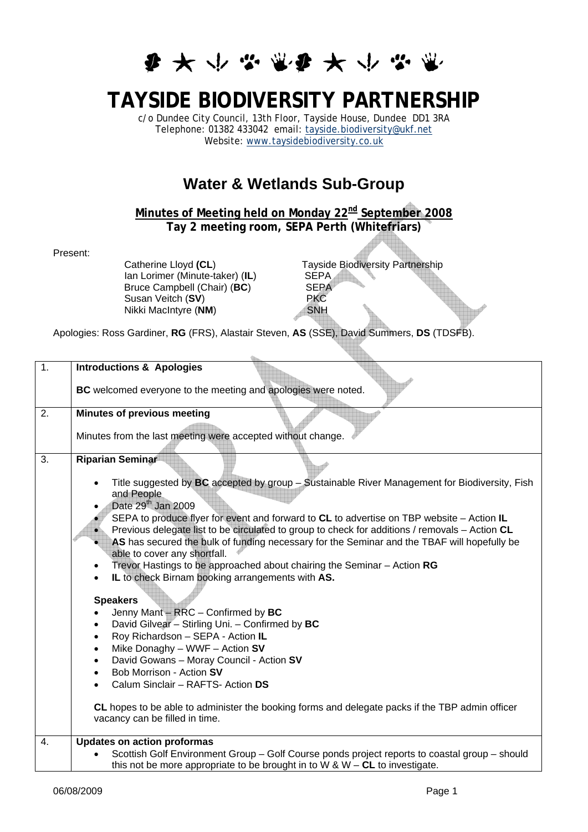## **多大小学堂多大小学堂**

## **TAYSIDE BIODIVERSITY PARTNERSHIP**

c/o Dundee City Council, 13th Floor, Tayside House, Dundee DD1 3RA Telephone: 01382 433042 email: [tayside.biodiversity@ukf.net](mailto:tayside.biodiversity@ukf.net) Website: [www.taysidebiodiversity.co.uk](http://www.taysidebiodiversity.co.uk/)

## **Water & Wetlands Sub-Group**

**Minutes of Meeting held on Monday 22nd September 2008 Tay 2 meeting room, SEPA Perth (Whitefriars)** 

Present:

Ian Lorimer (Minute-taker) (IL) SEPA<br>Bruce Campbell (Chair) (BC) SEPA Bruce Campbell (Chair) (**BC**) SEP<br>Susan Veitch (**SV**) **BKC** Susan Veitch (**SV**) PKC<br>Nikki MacIntyre (NM) PH **Nikki MacIntyre (NM)** 

Catherine Lloyd (CL)<br>
Ian Lorimer (Minute-taker) (IL)<br>
SEPA<br>
SEPA

Apologies: Ross Gardiner, **RG** (FRS), Alastair Steven, **AS** (SSE), David Summers, **DS** (TDSFB).

| $\overline{1}$ . | <b>Introductions &amp; Apologies</b>                                                                                                                                                          |
|------------------|-----------------------------------------------------------------------------------------------------------------------------------------------------------------------------------------------|
|                  | BC welcomed everyone to the meeting and apologies were noted.                                                                                                                                 |
| 2.               | <b>Minutes of previous meeting</b>                                                                                                                                                            |
|                  | Minutes from the last meeting were accepted without change.                                                                                                                                   |
| 3.               | <b>Riparian Seminar</b>                                                                                                                                                                       |
|                  | Title suggested by BC accepted by group - Sustainable River Management for Biodiversity, Fish<br>$\bullet$<br>and People<br>Date 29 <sup>th</sup> Jan 2009                                    |
|                  | SEPA to produce flyer for event and forward to CL to advertise on TBP website $-$ Action IL<br>Previous delegate list to be circulated to group to check for additions / removals - Action CL |
|                  | AS has secured the bulk of funding necessary for the Seminar and the TBAF will hopefully be<br>able to cover any shortfall.                                                                   |
|                  | Trevor Hastings to be approached about chairing the Seminar - Action RG<br>$\bullet$<br>IL to check Birnam booking arrangements with AS.                                                      |
|                  | <b>Speakers</b>                                                                                                                                                                               |
|                  | Jenny Mant - RRC - Confirmed by BC<br>$\bullet$                                                                                                                                               |
|                  | David Gilvear - Stirling Uni. - Confirmed by BC<br>$\bullet$                                                                                                                                  |
|                  | Roy Richardson - SEPA - Action IL<br>$\bullet$                                                                                                                                                |
|                  | Mike Donaghy - WWF - Action SV<br>$\bullet$                                                                                                                                                   |
|                  | David Gowans - Moray Council - Action SV<br>$\bullet$<br>Bob Morrison - Action SV                                                                                                             |
|                  | $\bullet$<br>Calum Sinclair - RAFTS- Action DS                                                                                                                                                |
|                  | CL hopes to be able to administer the booking forms and delegate packs if the TBP admin officer<br>vacancy can be filled in time.                                                             |
| 4.               | <b>Updates on action proformas</b>                                                                                                                                                            |
|                  | Scottish Golf Environment Group - Golf Course ponds project reports to coastal group - should<br>$\bullet$<br>this not be more appropriate to be brought in to W & W – CL to investigate.     |
|                  |                                                                                                                                                                                               |